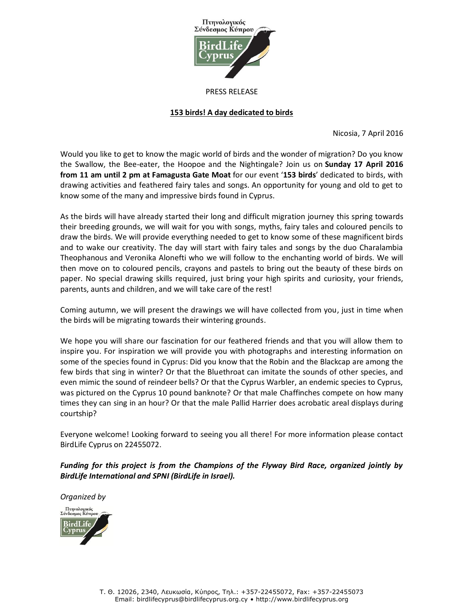

#### PRESS RELEASE

# **153 birds! A day dedicated to birds**

Nicosia, 7 April 2016

Would you like to get to know the magic world of birds and the wonder of migration? Do you know the Swallow, the Bee-eater, the Hoopoe and the Nightingale? Join us on **Sunday 17 April 2016 from 11 am until 2 pm at Famagusta Gate Moat** for our event '**153 birds**' dedicated to birds, with drawing activities and feathered fairy tales and songs. An opportunity for young and old to get to know some of the many and impressive birds found in Cyprus.

As the birds will have already started their long and difficult migration journey this spring towards their breeding grounds, we will wait for you with songs, myths, fairy tales and coloured pencils to draw the birds. We will provide everything needed to get to know some of these magnificent birds and to wake our creativity. The day will start with fairy tales and songs by the duo Charalambia Theophanous and Veronika Alonefti who we will follow to the enchanting world of birds. We will then move on to coloured pencils, crayons and pastels to bring out the beauty of these birds on paper. No special drawing skills required, just bring your high spirits and curiosity, your friends, parents, aunts and children, and we will take care of the rest!

Coming autumn, we will present the drawings we will have collected from you, just in time when the birds will be migrating towards their wintering grounds.

We hope you will share our fascination for our feathered friends and that you will allow them to inspire you. For inspiration we will provide you with photographs and interesting information on some of the species found in Cyprus: Did you know that the Robin and the Blackcap are among the few birds that sing in winter? Or that the Bluethroat can imitate the sounds of other species, and even mimic the sound of reindeer bells? Or that the Cyprus Warbler, an endemic species to Cyprus, was pictured on the Cyprus 10 pound banknote? Or that male Chaffinches compete on how many times they can sing in an hour? Or that the male Pallid Harrier does acrobatic areal displays during courtship?

Everyone welcome! Looking forward to seeing you all there! For more information please contact BirdLife Cyprus on 22455072.

*Funding for this project is from the Champions of the Flyway Bird Race, organized jointly by BirdLife International and SPNI (BirdLife in Israel).* 

*Organized by*.<br>Πτηνολογικός<br>ύνδεσμος Κύπρ BirdLif